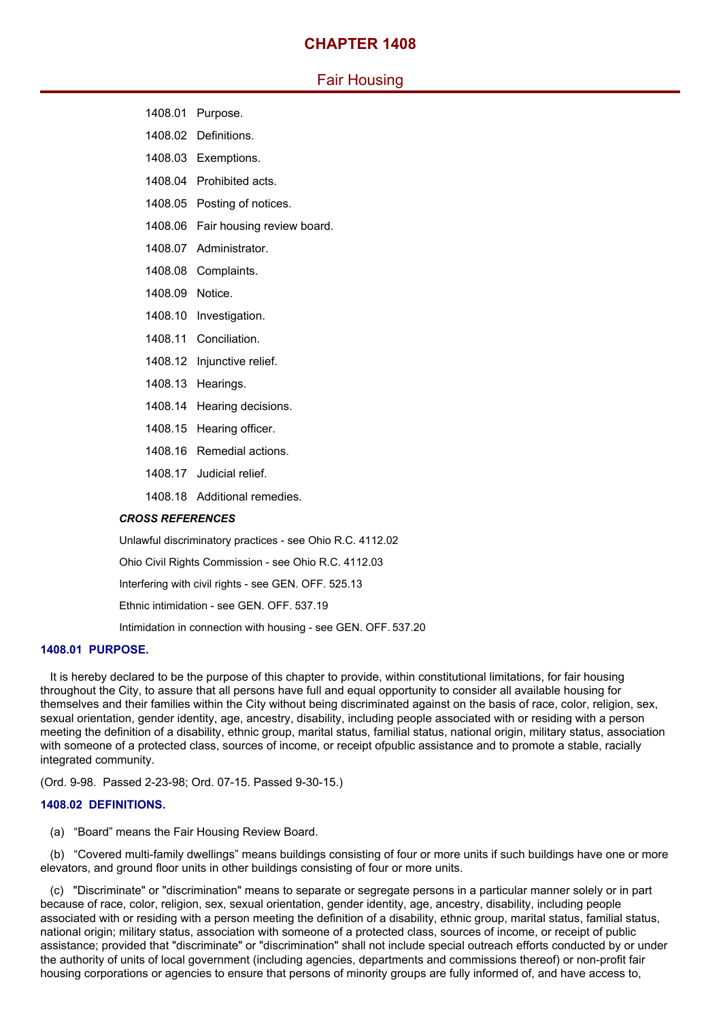## **CHAPTER 1408**

# Fair Housing

- 1408.01 Purpose.
- 1408.02 Definitions.
- 1408.03 Exemptions.
- 1408.04 Prohibited acts.
- 1408.05 Posting of notices.
- 1408.06 Fair housing review board.
- 1408.07 Administrator.
- 1408.08 Complaints.
- 1408.09 Notice.
- 1408.10 Investigation.
- 1408.11 Conciliation.
- 1408.12 Injunctive relief.
- 1408.13 Hearings.
- 1408.14 Hearing decisions.
- 1408.15 Hearing officer.
- 1408.16 Remedial actions.
- 1408.17 Judicial relief.
- 1408.18 Additional remedies.

## *CROSS REFERENCES*

Unlawful discriminatory practices - see Ohio R.C. 4112.02

Ohio Civil Rights Commission - see Ohio R.C. 4112.03

Interfering with civil rights - see GEN. OFF. 525.13

Ethnic intimidation - see GEN. OFF. 537.19

Intimidation in connection with housing - see GEN. OFF. 537.20

## **1408.01 PURPOSE.**

It is hereby declared to be the purpose of this chapter to provide, within constitutional limitations, for fair housing throughout the City, to assure that all persons have full and equal opportunity to consider all available housing for themselves and their families within the City without being discriminated against on the basis of race, color, religion, sex, sexual orientation, gender identity, age, ancestry, disability, including people associated with or residing with a person meeting the definition of a disability, ethnic group, marital status, familial status, national origin, military status, association with someone of a protected class, sources of income, or receipt ofpublic assistance and to promote a stable, racially integrated community.

(Ord. 9-98. Passed 2-23-98; Ord. 07-15. Passed 9-30-15.)

## **1408.02 DEFINITIONS.**

(a) "Board" means the Fair Housing Review Board.

(b) "Covered multi-family dwellings" means buildings consisting of four or more units if such buildings have one or more elevators, and ground floor units in other buildings consisting of four or more units.

(c) "Discriminate" or "discrimination" means to separate or segregate persons in a particular manner solely or in part because of race, color, religion, sex, sexual orientation, gender identity, age, ancestry, disability, including people associated with or residing with a person meeting the definition of a disability, ethnic group, marital status, familial status, national origin; military status, association with someone of a protected class, sources of income, or receipt of public assistance; provided that "discriminate" or "discrimination" shall not include special outreach efforts conducted by or under the authority of units of local government (including agencies, departments and commissions thereof) or non-profit fair housing corporations or agencies to ensure that persons of minority groups are fully informed of, and have access to,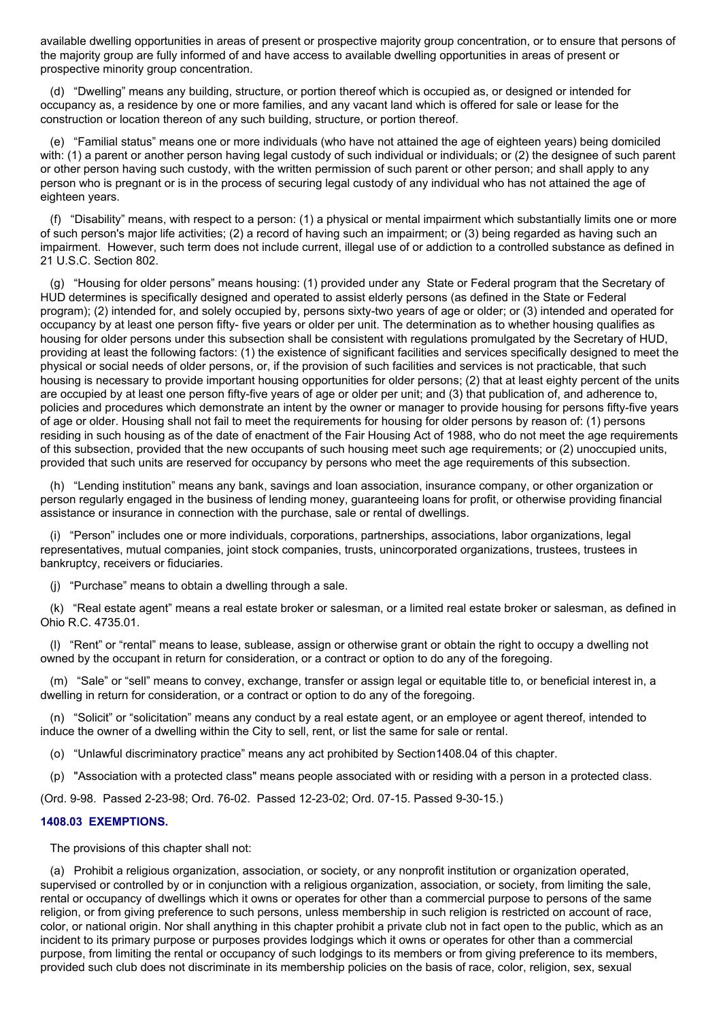available dwelling opportunities in areas of present or prospective majority group concentration, or to ensure that persons of the majority group are fully informed of and have access to available dwelling opportunities in areas of present or prospective minority group concentration.

(d) "Dwelling" means any building, structure, or portion thereof which is occupied as, or designed or intended for occupancy as, a residence by one or more families, and any vacant land which is offered for sale or lease for the construction or location thereon of any such building, structure, or portion thereof.

(e) "Familial status" means one or more individuals (who have not attained the age of eighteen years) being domiciled with: (1) a parent or another person having legal custody of such individual or individuals; or (2) the designee of such parent or other person having such custody, with the written permission of such parent or other person; and shall apply to any person who is pregnant or is in the process of securing legal custody of any individual who has not attained the age of eighteen vears.

(f) "Disability" means, with respect to a person: (1) a physical or mental impairment which substantially limits one or more of such person's major life activities; (2) a record of having such an impairment; or (3) being regarded as having such an impairment. However, such term does not include current, illegal use of or addiction to a controlled substance as defined in 21 U.S.C. Section 802.

(g) "Housing for older persons" means housing: (1) provided under any State or Federal program that the Secretary of HUD determines is specifically designed and operated to assist elderly persons (as defined in the State or Federal program); (2) intended for, and solely occupied by, persons sixty-two years of age or older; or (3) intended and operated for occupancy by at least one person fifty- five years or older per unit. The determination as to whether housing qualifies as housing for older persons under this subsection shall be consistent with regulations promulgated by the Secretary of HUD, providing at least the following factors: (1) the existence of significant facilities and services specifically designed to meet the physical or social needs of older persons, or, if the provision of such facilities and services is not practicable, that such housing is necessary to provide important housing opportunities for older persons; (2) that at least eighty percent of the units are occupied by at least one person fifty-five years of age or older per unit; and (3) that publication of, and adherence to, policies and procedures which demonstrate an intent by the owner or manager to provide housing for persons fifty-five years of age or older. Housing shall not fail to meet the requirements for housing for older persons by reason of: (1) persons residing in such housing as of the date of enactment of the Fair Housing Act of 1988, who do not meet the age requirements of this subsection, provided that the new occupants of such housing meet such age requirements; or (2) unoccupied units, provided that such units are reserved for occupancy by persons who meet the age requirements of this subsection.

(h) "Lending institution" means any bank, savings and loan association, insurance company, or other organization or person regularly engaged in the business of lending money, guaranteeing loans for profit, or otherwise providing financial assistance or insurance in connection with the purchase, sale or rental of dwellings.

(i) "Person" includes one or more individuals, corporations, partnerships, associations, labor organizations, legal representatives, mutual companies, joint stock companies, trusts, unincorporated organizations, trustees, trustees in bankruptcy, receivers or fiduciaries.

(j) "Purchase" means to obtain a dwelling through a sale.

(k) "Real estate agent" means a real estate broker or salesman, or a limited real estate broker or salesman, as defined in Ohio R.C. 4735.01.

(l) "Rent" or "rental" means to lease, sublease, assign or otherwise grant or obtain the right to occupy a dwelling not owned by the occupant in return for consideration, or a contract or option to do any of the foregoing.

(m) "Sale" or "sell" means to convey, exchange, transfer or assign legal or equitable title to, or beneficial interest in, a dwelling in return for consideration, or a contract or option to do any of the foregoing.

(n) "Solicit" or "solicitation" means any conduct by a real estate agent, or an employee or agent thereof, intended to induce the owner of a dwelling within the City to sell, rent, or list the same for sale or rental.

(o) "Unlawful discriminatory practice" means any act prohibited by Section1408.04 of this chapter.

(p) "Association with a protected class" means people associated with or residing with a person in a protected class.

(Ord. 9-98. Passed 2-23-98; Ord. 76-02. Passed 12-23-02; Ord. 07-15. Passed 9-30-15.)

## **1408.03 EXEMPTIONS.**

The provisions of this chapter shall not:

(a) Prohibit a religious organization, association, or society, or any nonprofit institution or organization operated, supervised or controlled by or in conjunction with a religious organization, association, or society, from limiting the sale, rental or occupancy of dwellings which it owns or operates for other than a commercial purpose to persons of the same religion, or from giving preference to such persons, unless membership in such religion is restricted on account of race, color, or national origin. Nor shall anything in this chapter prohibit a private club not in fact open to the public, which as an incident to its primary purpose or purposes provides lodgings which it owns or operates for other than a commercial purpose, from limiting the rental or occupancy of such lodgings to its members or from giving preference to its members, provided such club does not discriminate in its membership policies on the basis of race, color, religion, sex, sexual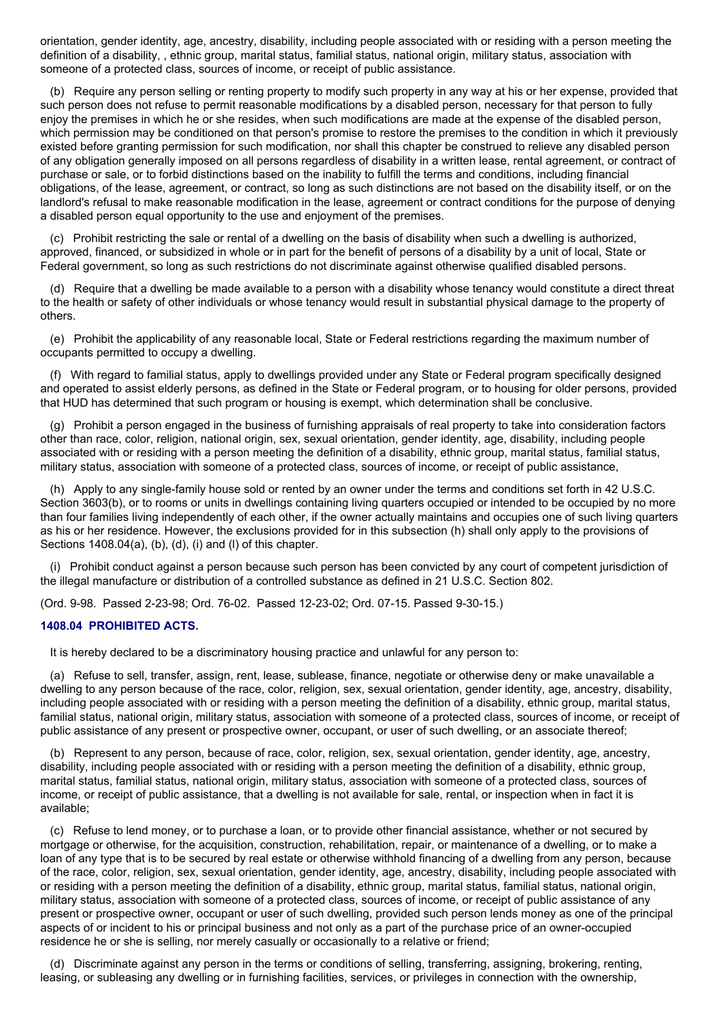orientation, gender identity, age, ancestry, disability, including people associated with or residing with a person meeting the definition of a disability, , ethnic group, marital status, familial status, national origin, military status, association with someone of a protected class, sources of income, or receipt of public assistance.

(b) Require any person selling or renting property to modify such property in any way at his or her expense, provided that such person does not refuse to permit reasonable modifications by a disabled person, necessary for that person to fully enjoy the premises in which he or she resides, when such modifications are made at the expense of the disabled person, which permission may be conditioned on that person's promise to restore the premises to the condition in which it previously existed before granting permission for such modification, nor shall this chapter be construed to relieve any disabled person of any obligation generally imposed on all persons regardless of disability in a written lease, rental agreement, or contract of purchase or sale, or to forbid distinctions based on the inability to fulfill the terms and conditions, including financial obligations, of the lease, agreement, or contract, so long as such distinctions are not based on the disability itself, or on the landlord's refusal to make reasonable modification in the lease, agreement or contract conditions for the purpose of denying a disabled person equal opportunity to the use and enjoyment of the premises.

(c) Prohibit restricting the sale or rental of a dwelling on the basis of disability when such a dwelling is authorized, approved, financed, or subsidized in whole or in part for the benefit of persons of a disability by a unit of local, State or Federal government, so long as such restrictions do not discriminate against otherwise qualified disabled persons.

(d) Require that a dwelling be made available to a person with a disability whose tenancy would constitute a direct threat to the health or safety of other individuals or whose tenancy would result in substantial physical damage to the property of others.

(e) Prohibit the applicability of any reasonable local, State or Federal restrictions regarding the maximum number of occupants permitted to occupy a dwelling.

(f) With regard to familial status, apply to dwellings provided under any State or Federal program specifically designed and operated to assist elderly persons, as defined in the State or Federal program, or to housing for older persons, provided that HUD has determined that such program or housing is exempt, which determination shall be conclusive.

(g) Prohibit a person engaged in the business of furnishing appraisals of real property to take into consideration factors other than race, color, religion, national origin, sex, sexual orientation, gender identity, age, disability, including people associated with or residing with a person meeting the definition of a disability, ethnic group, marital status, familial status, military status, association with someone of a protected class, sources of income, or receipt of public assistance,

(h) Apply to any single-family house sold or rented by an owner under the terms and conditions set forth in 42 U.S.C. Section 3603(b), or to rooms or units in dwellings containing living quarters occupied or intended to be occupied by no more than four families living independently of each other, if the owner actually maintains and occupies one of such living quarters as his or her residence. However, the exclusions provided for in this subsection (h) shall only apply to the provisions of Sections 1408.04(a), (b), (d), (i) and (l) of this chapter.

(i) Prohibit conduct against a person because such person has been convicted by any court of competent jurisdiction of the illegal manufacture or distribution of a controlled substance as defined in 21 U.S.C. Section 802.

(Ord. 9-98. Passed 2-23-98; Ord. 76-02. Passed 12-23-02; Ord. 07-15. Passed 9-30-15.)

## **1408.04 PROHIBITED ACTS.**

It is hereby declared to be a discriminatory housing practice and unlawful for any person to:

(a) Refuse to sell, transfer, assign, rent, lease, sublease, finance, negotiate or otherwise deny or make unavailable a dwelling to any person because of the race, color, religion, sex, sexual orientation, gender identity, age, ancestry, disability, including people associated with or residing with a person meeting the definition of a disability, ethnic group, marital status, familial status, national origin, military status, association with someone of a protected class, sources of income, or receipt of public assistance of any present or prospective owner, occupant, or user of such dwelling, or an associate thereof;

(b) Represent to any person, because of race, color, religion, sex, sexual orientation, gender identity, age, ancestry, disability, including people associated with or residing with a person meeting the definition of a disability, ethnic group, marital status, familial status, national origin, military status, association with someone of a protected class, sources of income, or receipt of public assistance, that a dwelling is not available for sale, rental, or inspection when in fact it is available;

(c) Refuse to lend money, or to purchase a loan, or to provide other financial assistance, whether or not secured by mortgage or otherwise, for the acquisition, construction, rehabilitation, repair, or maintenance of a dwelling, or to make a loan of any type that is to be secured by real estate or otherwise withhold financing of a dwelling from any person, because of the race, color, religion, sex, sexual orientation, gender identity, age, ancestry, disability, including people associated with or residing with a person meeting the definition of a disability, ethnic group, marital status, familial status, national origin, military status, association with someone of a protected class, sources of income, or receipt of public assistance of any present or prospective owner, occupant or user of such dwelling, provided such person lends money as one of the principal aspects of or incident to his or principal business and not only as a part of the purchase price of an owner-occupied residence he or she is selling, nor merely casually or occasionally to a relative or friend;

(d) Discriminate against any person in the terms or conditions of selling, transferring, assigning, brokering, renting, leasing, or subleasing any dwelling or in furnishing facilities, services, or privileges in connection with the ownership,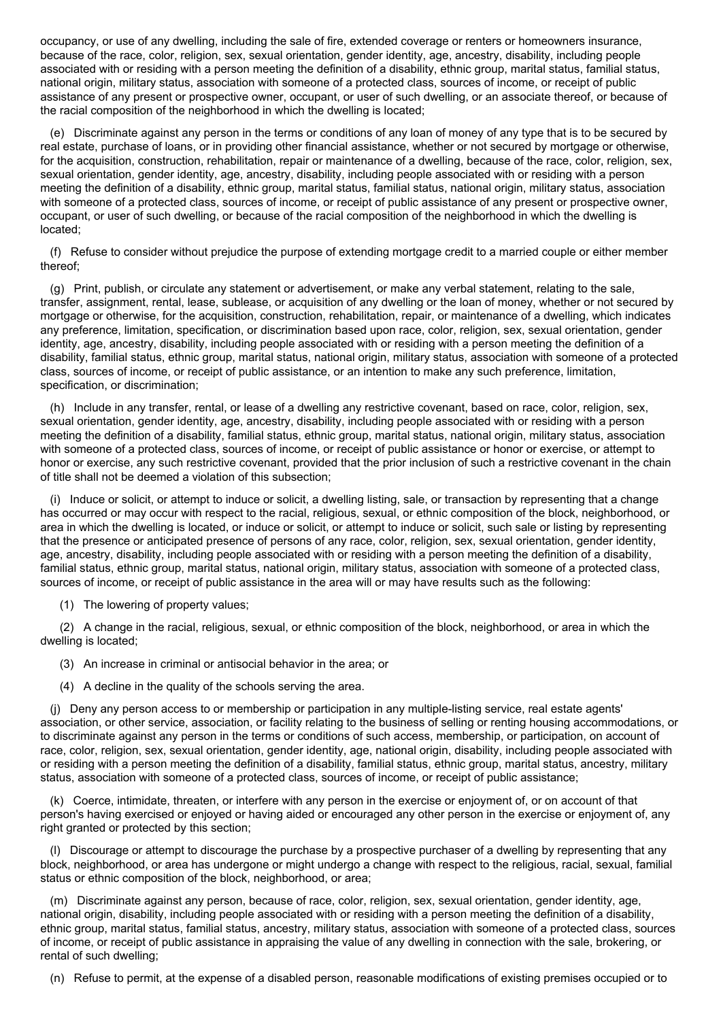occupancy, or use of any dwelling, including the sale of fire, extended coverage or renters or homeowners insurance, because of the race, color, religion, sex, sexual orientation, gender identity, age, ancestry, disability, including people associated with or residing with a person meeting the definition of a disability, ethnic group, marital status, familial status, national origin, military status, association with someone of a protected class, sources of income, or receipt of public assistance of any present or prospective owner, occupant, or user of such dwelling, or an associate thereof, or because of the racial composition of the neighborhood in which the dwelling is located;

(e) Discriminate against any person in the terms or conditions of any loan of money of any type that is to be secured by real estate, purchase of loans, or in providing other financial assistance, whether or not secured by mortgage or otherwise, for the acquisition, construction, rehabilitation, repair or maintenance of a dwelling, because of the race, color, religion, sex, sexual orientation, gender identity, age, ancestry, disability, including people associated with or residing with a person meeting the definition of a disability, ethnic group, marital status, familial status, national origin, military status, association with someone of a protected class, sources of income, or receipt of public assistance of any present or prospective owner, occupant, or user of such dwelling, or because of the racial composition of the neighborhood in which the dwelling is located;

(f) Refuse to consider without prejudice the purpose of extending mortgage credit to a married couple or either member thereof;

(g) Print, publish, or circulate any statement or advertisement, or make any verbal statement, relating to the sale, transfer, assignment, rental, lease, sublease, or acquisition of any dwelling or the loan of money, whether or not secured by mortgage or otherwise, for the acquisition, construction, rehabilitation, repair, or maintenance of a dwelling, which indicates any preference, limitation, specification, or discrimination based upon race, color, religion, sex, sexual orientation, gender identity, age, ancestry, disability, including people associated with or residing with a person meeting the definition of a disability, familial status, ethnic group, marital status, national origin, military status, association with someone of a protected class, sources of income, or receipt of public assistance, or an intention to make any such preference, limitation, specification, or discrimination;

(h) Include in any transfer, rental, or lease of a dwelling any restrictive covenant, based on race, color, religion, sex, sexual orientation, gender identity, age, ancestry, disability, including people associated with or residing with a person meeting the definition of a disability, familial status, ethnic group, marital status, national origin, military status, association with someone of a protected class, sources of income, or receipt of public assistance or honor or exercise, or attempt to honor or exercise, any such restrictive covenant, provided that the prior inclusion of such a restrictive covenant in the chain of title shall not be deemed a violation of this subsection;

(i) Induce or solicit, or attempt to induce or solicit, a dwelling listing, sale, or transaction by representing that a change has occurred or may occur with respect to the racial, religious, sexual, or ethnic composition of the block, neighborhood, or area in which the dwelling is located, or induce or solicit, or attempt to induce or solicit, such sale or listing by representing that the presence or anticipated presence of persons of any race, color, religion, sex, sexual orientation, gender identity, age, ancestry, disability, including people associated with or residing with a person meeting the definition of a disability, familial status, ethnic group, marital status, national origin, military status, association with someone of a protected class, sources of income, or receipt of public assistance in the area will or may have results such as the following:

(1) The lowering of property values;

(2) A change in the racial, religious, sexual, or ethnic composition of the block, neighborhood, or area in which the dwelling is located;

(3) An increase in criminal or antisocial behavior in the area; or

(4) A decline in the quality of the schools serving the area.

(j) Deny any person access to or membership or participation in any multiple-listing service, real estate agents' association, or other service, association, or facility relating to the business of selling or renting housing accommodations, or to discriminate against any person in the terms or conditions of such access, membership, or participation, on account of race, color, religion, sex, sexual orientation, gender identity, age, national origin, disability, including people associated with or residing with a person meeting the definition of a disability, familial status, ethnic group, marital status, ancestry, military status, association with someone of a protected class, sources of income, or receipt of public assistance;

(k) Coerce, intimidate, threaten, or interfere with any person in the exercise or enjoyment of, or on account of that person's having exercised or enjoyed or having aided or encouraged any other person in the exercise or enjoyment of, any right granted or protected by this section;

(l) Discourage or attempt to discourage the purchase by a prospective purchaser of a dwelling by representing that any block, neighborhood, or area has undergone or might undergo a change with respect to the religious, racial, sexual, familial status or ethnic composition of the block, neighborhood, or area;

(m) Discriminate against any person, because of race, color, religion, sex, sexual orientation, gender identity, age, national origin, disability, including people associated with or residing with a person meeting the definition of a disability, ethnic group, marital status, familial status, ancestry, military status, association with someone of a protected class, sources of income, or receipt of public assistance in appraising the value of any dwelling in connection with the sale, brokering, or rental of such dwelling;

(n) Refuse to permit, at the expense of a disabled person, reasonable modifications of existing premises occupied or to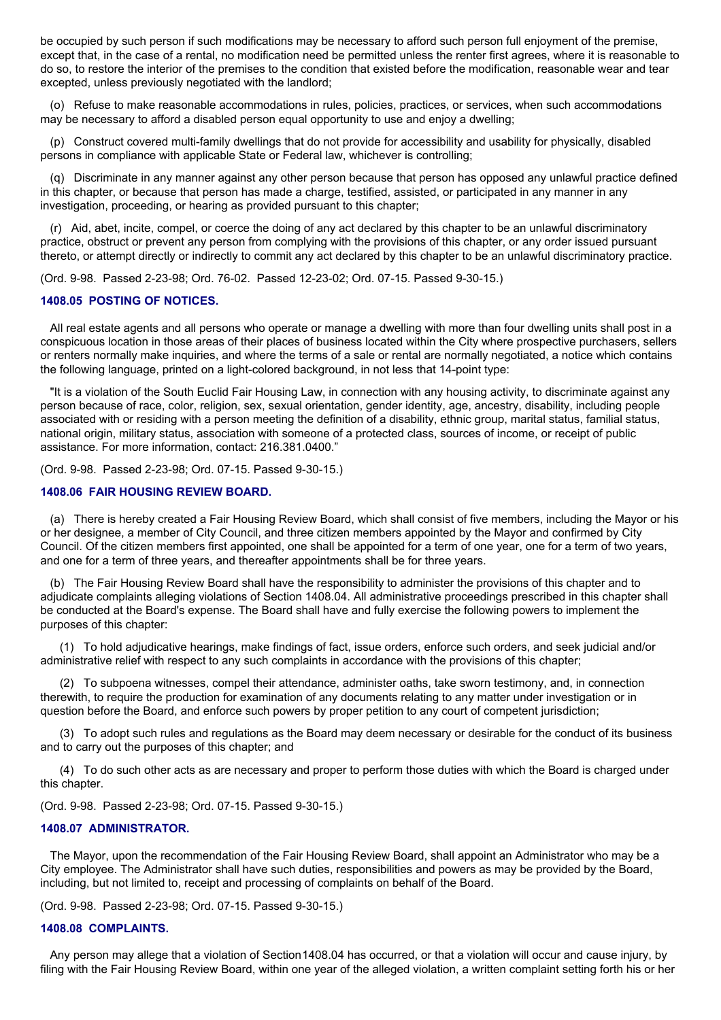be occupied by such person if such modifications may be necessary to afford such person full enjoyment of the premise, except that, in the case of a rental, no modification need be permitted unless the renter first agrees, where it is reasonable to do so, to restore the interior of the premises to the condition that existed before the modification, reasonable wear and tear excepted, unless previously negotiated with the landlord;

(o) Refuse to make reasonable accommodations in rules, policies, practices, or services, when such accommodations may be necessary to afford a disabled person equal opportunity to use and enjoy a dwelling;

(p) Construct covered multi-family dwellings that do not provide for accessibility and usability for physically, disabled persons in compliance with applicable State or Federal law, whichever is controlling;

(q) Discriminate in any manner against any other person because that person has opposed any unlawful practice defined in this chapter, or because that person has made a charge, testified, assisted, or participated in any manner in any investigation, proceeding, or hearing as provided pursuant to this chapter;

(r) Aid, abet, incite, compel, or coerce the doing of any act declared by this chapter to be an unlawful discriminatory practice, obstruct or prevent any person from complying with the provisions of this chapter, or any order issued pursuant thereto, or attempt directly or indirectly to commit any act declared by this chapter to be an unlawful discriminatory practice.

(Ord. 9-98. Passed 2-23-98; Ord. 76-02. Passed 12-23-02; Ord. 07-15. Passed 9-30-15.)

## **1408.05 POSTING OF NOTICES.**

All real estate agents and all persons who operate or manage a dwelling with more than four dwelling units shall post in a conspicuous location in those areas of their places of business located within the City where prospective purchasers, sellers or renters normally make inquiries, and where the terms of a sale or rental are normally negotiated, a notice which contains the following language, printed on a light-colored background, in not less that 14-point type:

"It is a violation of the South Euclid Fair Housing Law, in connection with any housing activity, to discriminate against any person because of race, color, religion, sex, sexual orientation, gender identity, age, ancestry, disability, including people associated with or residing with a person meeting the definition of a disability, ethnic group, marital status, familial status, national origin, military status, association with someone of a protected class, sources of income, or receipt of public assistance. For more information, contact: 216.381.0400."

(Ord. 9-98. Passed 2-23-98; Ord. 07-15. Passed 9-30-15.)

#### **1408.06 FAIR HOUSING REVIEW BOARD.**

(a) There is hereby created a Fair Housing Review Board, which shall consist of five members, including the Mayor or his or her designee, a member of City Council, and three citizen members appointed by the Mayor and confirmed by City Council. Of the citizen members first appointed, one shall be appointed for a term of one year, one for a term of two years, and one for a term of three years, and thereafter appointments shall be for three years.

(b) The Fair Housing Review Board shall have the responsibility to administer the provisions of this chapter and to adjudicate complaints alleging violations of Section 1408.04. All administrative proceedings prescribed in this chapter shall be conducted at the Board's expense. The Board shall have and fully exercise the following powers to implement the purposes of this chapter:

(1) To hold adjudicative hearings, make findings of fact, issue orders, enforce such orders, and seek judicial and/or administrative relief with respect to any such complaints in accordance with the provisions of this chapter;

(2) To subpoena witnesses, compel their attendance, administer oaths, take sworn testimony, and, in connection therewith, to require the production for examination of any documents relating to any matter under investigation or in question before the Board, and enforce such powers by proper petition to any court of competent jurisdiction;

(3) To adopt such rules and regulations as the Board may deem necessary or desirable for the conduct of its business and to carry out the purposes of this chapter; and

(4) To do such other acts as are necessary and proper to perform those duties with which the Board is charged under this chapter.

(Ord. 9-98. Passed 2-23-98; Ord. 07-15. Passed 9-30-15.)

#### **1408.07 ADMINISTRATOR.**

The Mayor, upon the recommendation of the Fair Housing Review Board, shall appoint an Administrator who may be a City employee. The Administrator shall have such duties, responsibilities and powers as may be provided by the Board, including, but not limited to, receipt and processing of complaints on behalf of the Board.

(Ord. 9-98. Passed 2-23-98; Ord. 07-15. Passed 9-30-15.)

#### **1408.08 COMPLAINTS.**

Any person may allege that a violation of Section1408.04 has occurred, or that a violation will occur and cause injury, by filing with the Fair Housing Review Board, within one year of the alleged violation, a written complaint setting forth his or her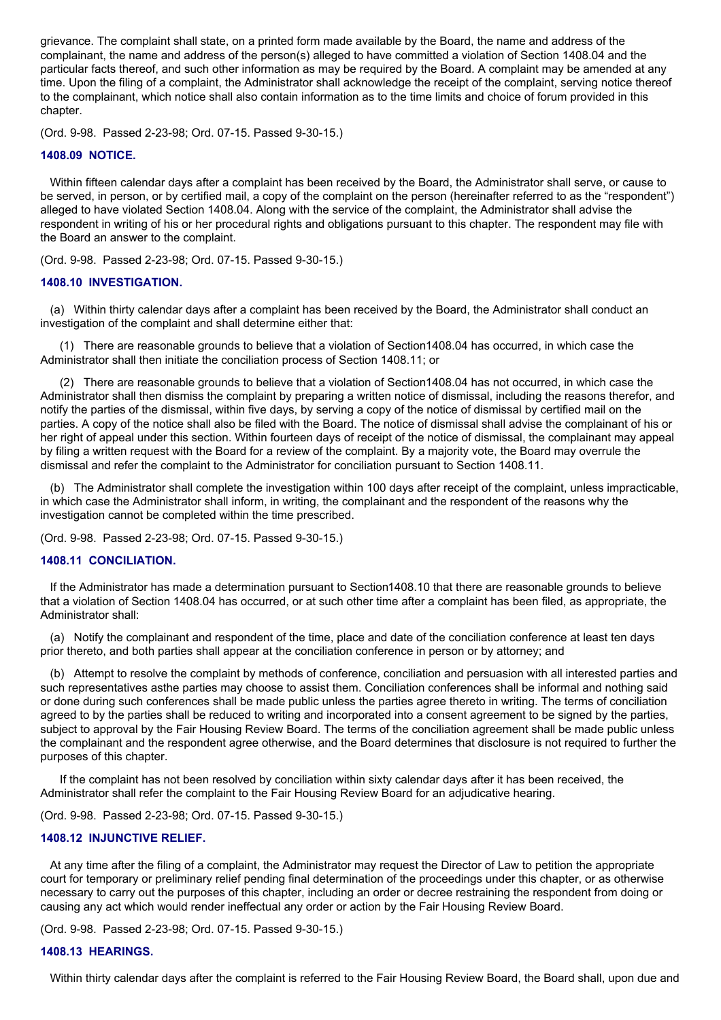grievance. The complaint shall state, on a printed form made available by the Board, the name and address of the complainant, the name and address of the person(s) alleged to have committed a violation of Section 1408.04 and the particular facts thereof, and such other information as may be required by the Board. A complaint may be amended at any time. Upon the filing of a complaint, the Administrator shall acknowledge the receipt of the complaint, serving notice thereof to the complainant, which notice shall also contain information as to the time limits and choice of forum provided in this chapter.

(Ord. 9-98. Passed 2-23-98; Ord. 07-15. Passed 9-30-15.)

## **1408.09 NOTICE.**

Within fifteen calendar days after a complaint has been received by the Board, the Administrator shall serve, or cause to be served, in person, or by certified mail, a copy of the complaint on the person (hereinafter referred to as the "respondent") alleged to have violated Section 1408.04. Along with the service of the complaint, the Administrator shall advise the respondent in writing of his or her procedural rights and obligations pursuant to this chapter. The respondent may file with the Board an answer to the complaint.

(Ord. 9-98. Passed 2-23-98; Ord. 07-15. Passed 9-30-15.)

## **1408.10 INVESTIGATION.**

(a) Within thirty calendar days after a complaint has been received by the Board, the Administrator shall conduct an investigation of the complaint and shall determine either that:

(1) There are reasonable grounds to believe that a violation of Section1408.04 has occurred, in which case the Administrator shall then initiate the conciliation process of Section 1408.11; or

(2) There are reasonable grounds to believe that a violation of Section1408.04 has not occurred, in which case the Administrator shall then dismiss the complaint by preparing a written notice of dismissal, including the reasons therefor, and notify the parties of the dismissal, within five days, by serving a copy of the notice of dismissal by certified mail on the parties. A copy of the notice shall also be filed with the Board. The notice of dismissal shall advise the complainant of his or her right of appeal under this section. Within fourteen days of receipt of the notice of dismissal, the complainant may appeal by filing a written request with the Board for a review of the complaint. By a majority vote, the Board may overrule the dismissal and refer the complaint to the Administrator for conciliation pursuant to Section 1408.11.

(b) The Administrator shall complete the investigation within 100 days after receipt of the complaint, unless impracticable, in which case the Administrator shall inform, in writing, the complainant and the respondent of the reasons why the investigation cannot be completed within the time prescribed.

(Ord. 9-98. Passed 2-23-98; Ord. 07-15. Passed 9-30-15.)

## **1408.11 CONCILIATION.**

If the Administrator has made a determination pursuant to Section1408.10 that there are reasonable grounds to believe that a violation of Section 1408.04 has occurred, or at such other time after a complaint has been filed, as appropriate, the Administrator shall:

(a) Notify the complainant and respondent of the time, place and date of the conciliation conference at least ten days prior thereto, and both parties shall appear at the conciliation conference in person or by attorney; and

(b) Attempt to resolve the complaint by methods of conference, conciliation and persuasion with all interested parties and such representatives asthe parties may choose to assist them. Conciliation conferences shall be informal and nothing said or done during such conferences shall be made public unless the parties agree thereto in writing. The terms of conciliation agreed to by the parties shall be reduced to writing and incorporated into a consent agreement to be signed by the parties, subject to approval by the Fair Housing Review Board. The terms of the conciliation agreement shall be made public unless the complainant and the respondent agree otherwise, and the Board determines that disclosure is not required to further the purposes of this chapter.

If the complaint has not been resolved by conciliation within sixty calendar days after it has been received, the Administrator shall refer the complaint to the Fair Housing Review Board for an adjudicative hearing.

(Ord. 9-98. Passed 2-23-98; Ord. 07-15. Passed 9-30-15.)

## **1408.12 INJUNCTIVE RELIEF.**

At any time after the filing of a complaint, the Administrator may request the Director of Law to petition the appropriate court for temporary or preliminary relief pending final determination of the proceedings under this chapter, or as otherwise necessary to carry out the purposes of this chapter, including an order or decree restraining the respondent from doing or causing any act which would render ineffectual any order or action by the Fair Housing Review Board.

(Ord. 9-98. Passed 2-23-98; Ord. 07-15. Passed 9-30-15.)

## **1408.13 HEARINGS.**

Within thirty calendar days after the complaint is referred to the Fair Housing Review Board, the Board shall, upon due and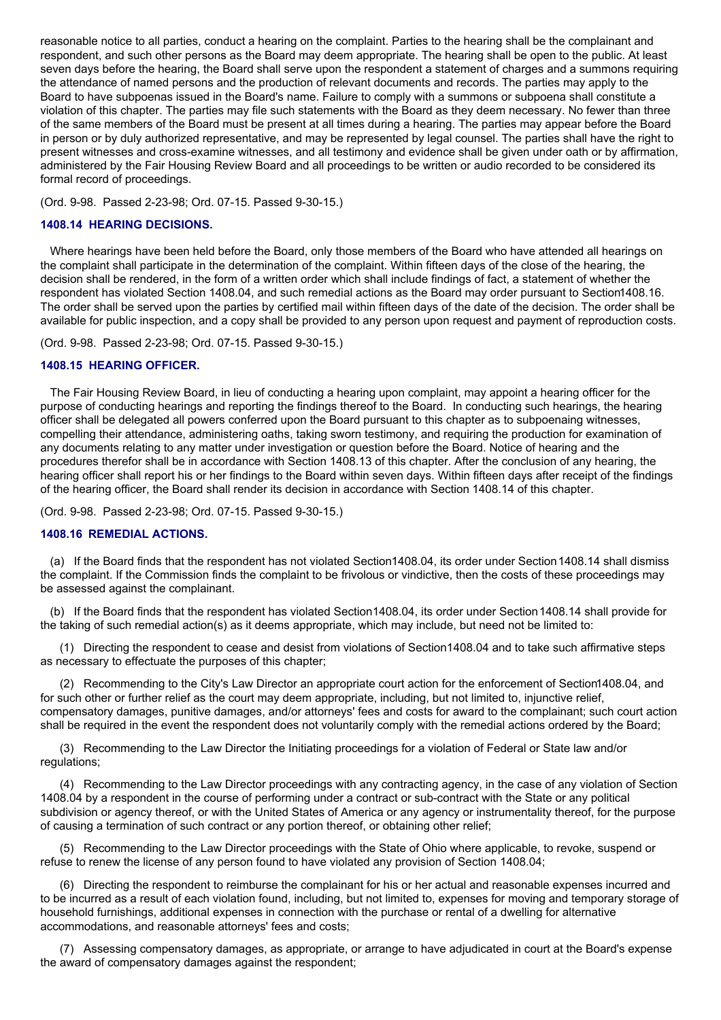reasonable notice to all parties, conduct a hearing on the complaint. Parties to the hearing shall be the complainant and respondent, and such other persons as the Board may deem appropriate. The hearing shall be open to the public. At least seven days before the hearing, the Board shall serve upon the respondent a statement of charges and a summons requiring the attendance of named persons and the production of relevant documents and records. The parties may apply to the Board to have subpoenas issued in the Board's name. Failure to comply with a summons or subpoena shall constitute a violation of this chapter. The parties may file such statements with the Board as they deem necessary. No fewer than three of the same members of the Board must be present at all times during a hearing. The parties may appear before the Board in person or by duly authorized representative, and may be represented by legal counsel. The parties shall have the right to present witnesses and cross-examine witnesses, and all testimony and evidence shall be given under oath or by affirmation, administered by the Fair Housing Review Board and all proceedings to be written or audio recorded to be considered its formal record of proceedings.

(Ord. 9-98. Passed 2-23-98; Ord. 07-15. Passed 9-30-15.)

## **1408.14 HEARING DECISIONS.**

Where hearings have been held before the Board, only those members of the Board who have attended all hearings on the complaint shall participate in the determination of the complaint. Within fifteen days of the close of the hearing, the decision shall be rendered, in the form of a written order which shall include findings of fact, a statement of whether the respondent has violated Section 1408.04, and such remedial actions as the Board may order pursuant to Section1408.16. The order shall be served upon the parties by certified mail within fifteen days of the date of the decision. The order shall be available for public inspection, and a copy shall be provided to any person upon request and payment of reproduction costs.

(Ord. 9-98. Passed 2-23-98; Ord. 07-15. Passed 9-30-15.)

## **1408.15 HEARING OFFICER.**

The Fair Housing Review Board, in lieu of conducting a hearing upon complaint, may appoint a hearing officer for the purpose of conducting hearings and reporting the findings thereof to the Board. In conducting such hearings, the hearing officer shall be delegated all powers conferred upon the Board pursuant to this chapter as to subpoenaing witnesses, compelling their attendance, administering oaths, taking sworn testimony, and requiring the production for examination of any documents relating to any matter under investigation or question before the Board. Notice of hearing and the procedures therefor shall be in accordance with Section 1408.13 of this chapter. After the conclusion of any hearing, the hearing officer shall report his or her findings to the Board within seven days. Within fifteen days after receipt of the findings of the hearing officer, the Board shall render its decision in accordance with Section 1408.14 of this chapter.

(Ord. 9-98. Passed 2-23-98; Ord. 07-15. Passed 9-30-15.)

## **1408.16 REMEDIAL ACTIONS.**

(a) If the Board finds that the respondent has not violated Section1408.04, its order under Section1408.14 shall dismiss the complaint. If the Commission finds the complaint to be frivolous or vindictive, then the costs of these proceedings may be assessed against the complainant.

(b) If the Board finds that the respondent has violated Section1408.04, its order under Section1408.14 shall provide for the taking of such remedial action(s) as it deems appropriate, which may include, but need not be limited to:

(1) Directing the respondent to cease and desist from violations of Section1408.04 and to take such affirmative steps as necessary to effectuate the purposes of this chapter;

(2) Recommending to the City's Law Director an appropriate court action for the enforcement of Section1408.04, and for such other or further relief as the court may deem appropriate, including, but not limited to, injunctive relief, compensatory damages, punitive damages, and/or attorneys' fees and costs for award to the complainant; such court action shall be required in the event the respondent does not voluntarily comply with the remedial actions ordered by the Board;

(3) Recommending to the Law Director the Initiating proceedings for a violation of Federal or State law and/or regulations;

(4) Recommending to the Law Director proceedings with any contracting agency, in the case of any violation of Section 1408.04 by a respondent in the course of performing under a contract or sub-contract with the State or any political subdivision or agency thereof, or with the United States of America or any agency or instrumentality thereof, for the purpose of causing a termination of such contract or any portion thereof, or obtaining other relief;

(5) Recommending to the Law Director proceedings with the State of Ohio where applicable, to revoke, suspend or refuse to renew the license of any person found to have violated any provision of Section 1408.04;

(6) Directing the respondent to reimburse the complainant for his or her actual and reasonable expenses incurred and to be incurred as a result of each violation found, including, but not limited to, expenses for moving and temporary storage of household furnishings, additional expenses in connection with the purchase or rental of a dwelling for alternative accommodations, and reasonable attorneys' fees and costs;

(7) Assessing compensatory damages, as appropriate, or arrange to have adjudicated in court at the Board's expense the award of compensatory damages against the respondent;